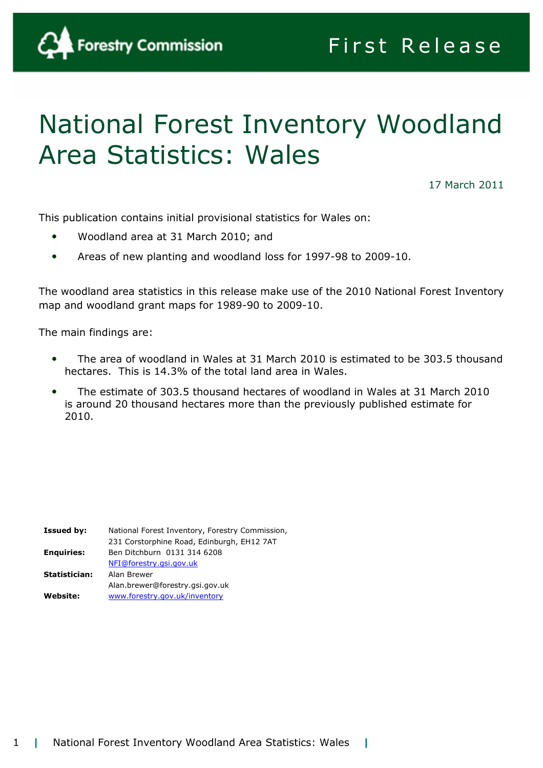

# National Forest Inventory Woodland Area Statistics: Wales

17 March 2011

This publication contains initial provisional statistics for Wales on:

- Woodland area at 31 March 2010; and
- Areas of new planting and woodland loss for 1997-98 to 2009-10.

The woodland area statistics in this release make use of the 2010 National Forest Inventory map and woodland grant maps for 1989-90 to 2009-10.

The main findings are:

- The area of woodland in Wales at 31 March 2010 is estimated to be 303.5 thousand hectares. This is 14.3% of the total land area in Wales.
- The estimate of 303.5 thousand hectares of woodland in Wales at 31 March 2010 is around 20 thousand hectares more than the previously published estimate for 2010.

| National Forest Inventory, Forestry Commission, |
|-------------------------------------------------|
| 231 Corstorphine Road, Edinburgh, EH12 7AT      |
| Ben Ditchburn 0131 314 6208                     |
| NFI@forestry.gsi.gov.uk                         |
| Alan Brewer                                     |
| Alan.brewer@forestry.gsi.gov.uk                 |
| www.forestry.gov.uk/inventory                   |
|                                                 |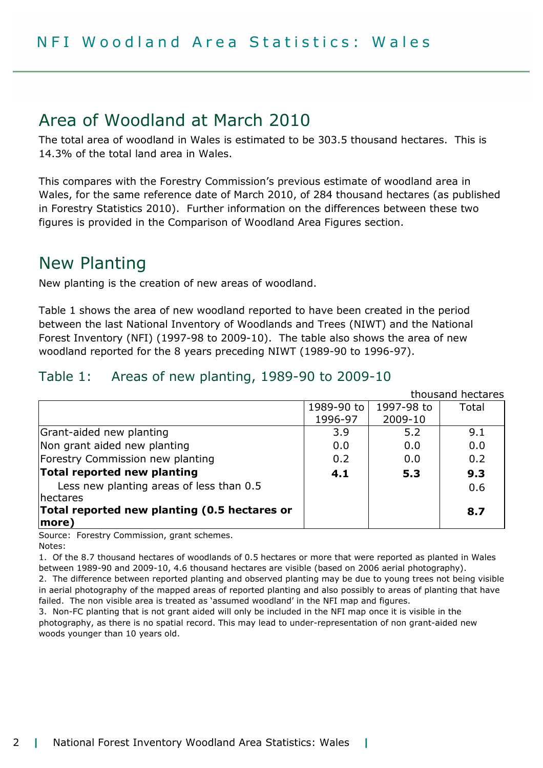# Area of Woodland at March 2010

The total area of woodland in Wales is estimated to be 303.5 thousand hectares. This is 14.3% of the total land area in Wales.

This compares with the Forestry Commission's previous estimate of woodland area in Wales, for the same reference date of March 2010, of 284 thousand hectares (as published in Forestry Statistics 2010). Further information on the differences between these two figures is provided in the Comparison of Woodland Area Figures section.

# New Planting

New planting is the creation of new areas of woodland.

Table 1 shows the area of new woodland reported to have been created in the period between the last National Inventory of Woodlands and Trees (NIWT) and the National Forest Inventory (NFI) (1997-98 to 2009-10). The table also shows the area of new woodland reported for the 8 years preceding NIWT (1989-90 to 1996-97).

#### Table 1: Areas of new planting, 1989-90 to 2009-10

thousand hectares 1989-90 to 1996-97 1997-98 to 2009-10 Total Grant-aided new planting and the state of the state of the state of the state of the state of the state of the state of the state of the state of the state of the state of the state of the state of the state of the state o Non grant aided new planting  $\vert$  0.0  $\vert$  0.0  $\vert$  0.0  $\vert$  0.0 0.0 Forestry Commission new planting  $\begin{array}{|c|c|c|c|c|c|c|c|c|} \hline 0.2 & 0.0 & 0.2 \ \hline \end{array}$ Total reported new planting 4.1 5.3 9.3 Less new planting areas of less than 0.5 hectares 0.6 Total reported new planting (0.5 hectares or more) 8.7

Source: Forestry Commission, grant schemes. Notes:

1. Of the 8.7 thousand hectares of woodlands of 0.5 hectares or more that were reported as planted in Wales between 1989-90 and 2009-10, 4.6 thousand hectares are visible (based on 2006 aerial photography).

2. The difference between reported planting and observed planting may be due to young trees not being visible in aerial photography of the mapped areas of reported planting and also possibly to areas of planting that have failed. The non visible area is treated as 'assumed woodland' in the NFI map and figures.

3. Non-FC planting that is not grant aided will only be included in the NFI map once it is visible in the photography, as there is no spatial record. This may lead to under-representation of non grant-aided new woods younger than 10 years old.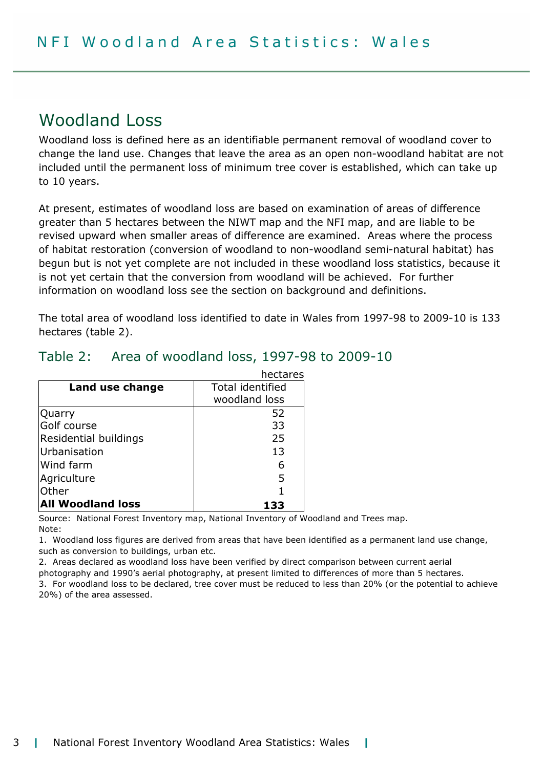# Woodland Loss

Woodland loss is defined here as an identifiable permanent removal of woodland cover to change the land use. Changes that leave the area as an open non-woodland habitat are not included until the permanent loss of minimum tree cover is established, which can take up to 10 years.

At present, estimates of woodland loss are based on examination of areas of difference greater than 5 hectares between the NIWT map and the NFI map, and are liable to be revised upward when smaller areas of difference are examined. Areas where the process of habitat restoration (conversion of woodland to non-woodland semi-natural habitat) has begun but is not yet complete are not included in these woodland loss statistics, because it is not yet certain that the conversion from woodland will be achieved. For further information on woodland loss see the section on background and definitions.

The total area of woodland loss identified to date in Wales from 1997-98 to 2009-10 is 133 hectares (table 2).

|                          | hectares                |  |
|--------------------------|-------------------------|--|
| Land use change          | <b>Total identified</b> |  |
|                          | woodland loss           |  |
| Quarry                   | 52                      |  |
| Golf course              | 33                      |  |
| Residential buildings    | 25                      |  |
| Urbanisation             | 13                      |  |
| Wind farm                | 6                       |  |
| Agriculture              | 5                       |  |
| Other                    |                         |  |
| <b>All Woodland loss</b> |                         |  |

# Table 2: Area of woodland loss, 1997-98 to 2009-10

Source: National Forest Inventory map, National Inventory of Woodland and Trees map. Note:

1. Woodland loss figures are derived from areas that have been identified as a permanent land use change, such as conversion to buildings, urban etc.

2. Areas declared as woodland loss have been verified by direct comparison between current aerial

photography and 1990's aerial photography, at present limited to differences of more than 5 hectares.

3. For woodland loss to be declared, tree cover must be reduced to less than 20% (or the potential to achieve 20%) of the area assessed.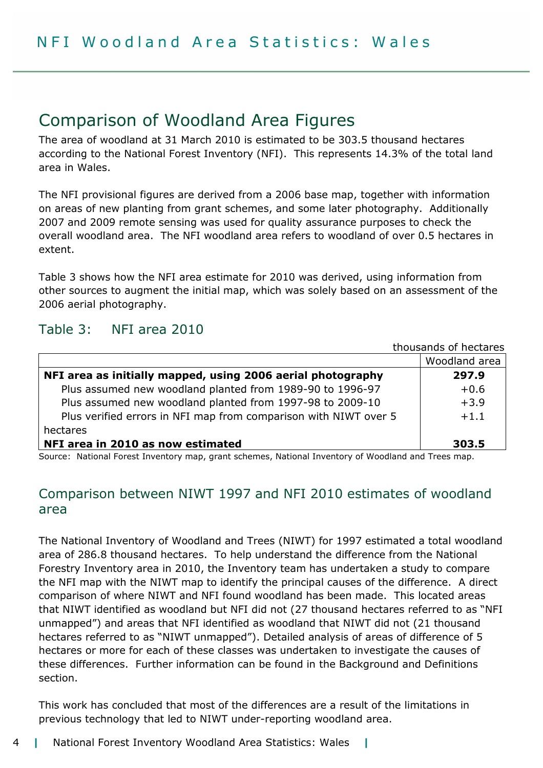# Comparison of Woodland Area Figures

The area of woodland at 31 March 2010 is estimated to be 303.5 thousand hectares according to the National Forest Inventory (NFI). This represents 14.3% of the total land area in Wales.

The NFI provisional figures are derived from a 2006 base map, together with information on areas of new planting from grant schemes, and some later photography. Additionally 2007 and 2009 remote sensing was used for quality assurance purposes to check the overall woodland area. The NFI woodland area refers to woodland of over 0.5 hectares in extent.

Table 3 shows how the NFI area estimate for 2010 was derived, using information from other sources to augment the initial map, which was solely based on an assessment of the 2006 aerial photography.

# Table 3: NFI area 2010

| thousands of hectares                                            |               |
|------------------------------------------------------------------|---------------|
|                                                                  | Woodland area |
| NFI area as initially mapped, using 2006 aerial photography      | 297.9         |
| Plus assumed new woodland planted from 1989-90 to 1996-97        | $+0.6$        |
| Plus assumed new woodland planted from 1997-98 to 2009-10        | $+3.9$        |
| Plus verified errors in NFI map from comparison with NIWT over 5 | $+1.1$        |
| hectares                                                         |               |
| NFI area in 2010 as now estimated                                | 303.5         |

Source: National Forest Inventory map, grant schemes, National Inventory of Woodland and Trees map.

# Comparison between NIWT 1997 and NFI 2010 estimates of woodland area

The National Inventory of Woodland and Trees (NIWT) for 1997 estimated a total woodland area of 286.8 thousand hectares. To help understand the difference from the National Forestry Inventory area in 2010, the Inventory team has undertaken a study to compare the NFI map with the NIWT map to identify the principal causes of the difference. A direct comparison of where NIWT and NFI found woodland has been made. This located areas that NIWT identified as woodland but NFI did not (27 thousand hectares referred to as "NFI unmapped") and areas that NFI identified as woodland that NIWT did not (21 thousand hectares referred to as "NIWT unmapped"). Detailed analysis of areas of difference of 5 hectares or more for each of these classes was undertaken to investigate the causes of these differences. Further information can be found in the Background and Definitions section.

This work has concluded that most of the differences are a result of the limitations in previous technology that led to NIWT under-reporting woodland area.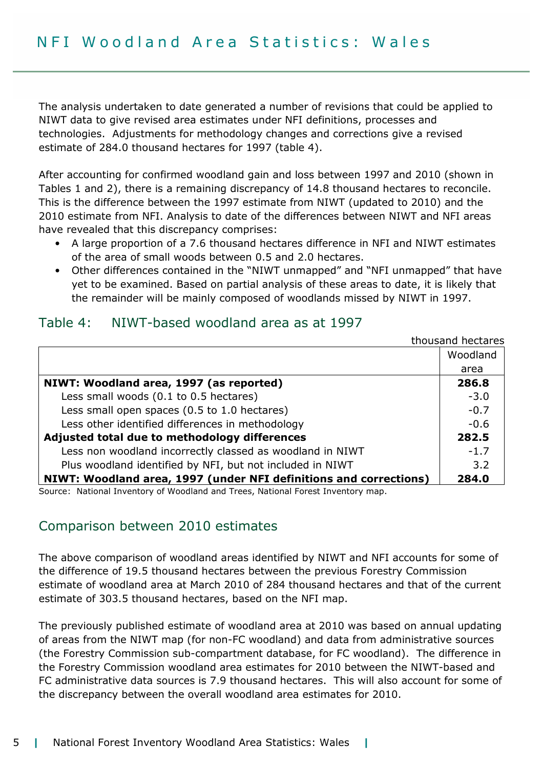The analysis undertaken to date generated a number of revisions that could be applied to NIWT data to give revised area estimates under NFI definitions, processes and technologies. Adjustments for methodology changes and corrections give a revised estimate of 284.0 thousand hectares for 1997 (table 4).

After accounting for confirmed woodland gain and loss between 1997 and 2010 (shown in Tables 1 and 2), there is a remaining discrepancy of 14.8 thousand hectares to reconcile. This is the difference between the 1997 estimate from NIWT (updated to 2010) and the 2010 estimate from NFI. Analysis to date of the differences between NIWT and NFI areas have revealed that this discrepancy comprises:

- A large proportion of a 7.6 thousand hectares difference in NFI and NIWT estimates of the area of small woods between 0.5 and 2.0 hectares.
- Other differences contained in the "NIWT unmapped" and "NFI unmapped" that have yet to be examined. Based on partial analysis of these areas to date, it is likely that the remainder will be mainly composed of woodlands missed by NIWT in 1997.

|                                                                   | thousand hectares |
|-------------------------------------------------------------------|-------------------|
|                                                                   | Woodland          |
|                                                                   | area              |
| NIWT: Woodland area, 1997 (as reported)                           | 286.8             |
| Less small woods (0.1 to 0.5 hectares)                            | $-3.0$            |
| Less small open spaces (0.5 to 1.0 hectares)                      | $-0.7$            |
| Less other identified differences in methodology                  | $-0.6$            |
| Adjusted total due to methodology differences                     | 282.5             |
| Less non woodland incorrectly classed as woodland in NIWT         | $-1.7$            |
| Plus woodland identified by NFI, but not included in NIWT         | 3.2               |
| NIWT: Woodland area, 1997 (under NFI definitions and corrections) | 284.0             |

#### Table 4: NIWT-based woodland area as at 1997

Source: National Inventory of Woodland and Trees, National Forest Inventory map.

### Comparison between 2010 estimates

The above comparison of woodland areas identified by NIWT and NFI accounts for some of the difference of 19.5 thousand hectares between the previous Forestry Commission estimate of woodland area at March 2010 of 284 thousand hectares and that of the current estimate of 303.5 thousand hectares, based on the NFI map.

The previously published estimate of woodland area at 2010 was based on annual updating of areas from the NIWT map (for non-FC woodland) and data from administrative sources (the Forestry Commission sub-compartment database, for FC woodland). The difference in the Forestry Commission woodland area estimates for 2010 between the NIWT-based and FC administrative data sources is 7.9 thousand hectares. This will also account for some of the discrepancy between the overall woodland area estimates for 2010.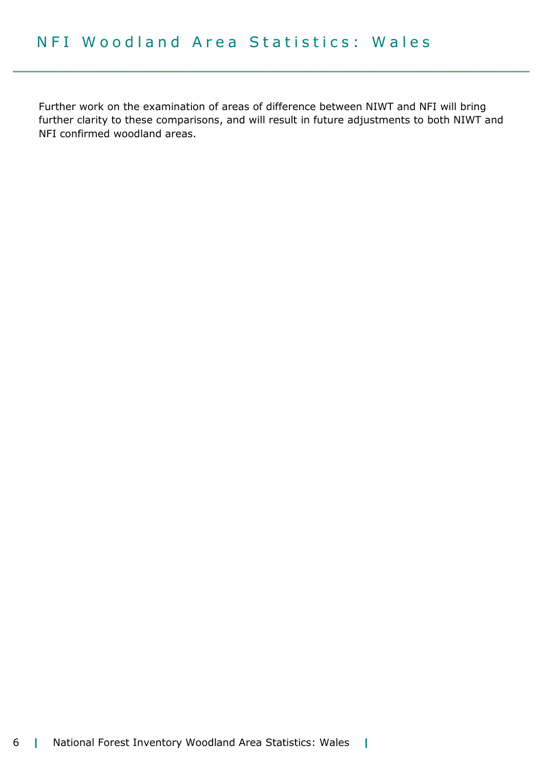Further work on the examination of areas of difference between NIWT and NFI will bring further clarity to these comparisons, and will result in future adjustments to both NIWT and NFI confirmed woodland areas.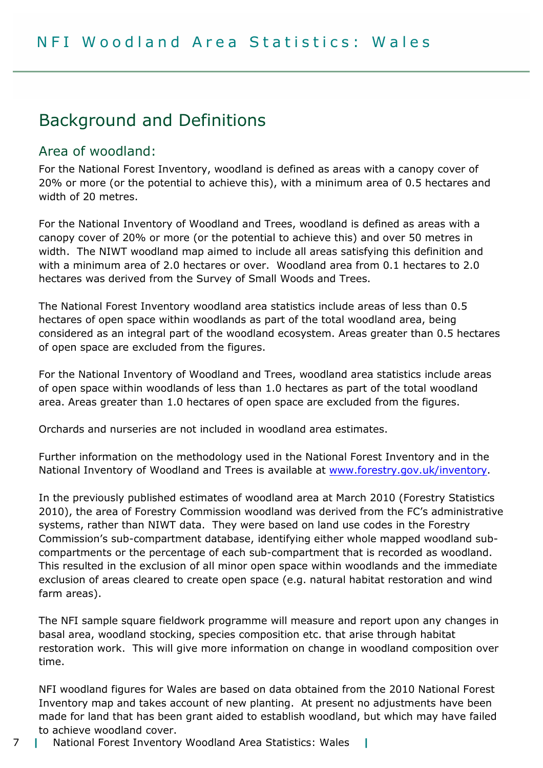# Background and Definitions

### Area of woodland:

For the National Forest Inventory, woodland is defined as areas with a canopy cover of 20% or more (or the potential to achieve this), with a minimum area of 0.5 hectares and width of 20 metres.

For the National Inventory of Woodland and Trees, woodland is defined as areas with a canopy cover of 20% or more (or the potential to achieve this) and over 50 metres in width. The NIWT woodland map aimed to include all areas satisfying this definition and with a minimum area of 2.0 hectares or over. Woodland area from 0.1 hectares to 2.0 hectares was derived from the Survey of Small Woods and Trees.

The National Forest Inventory woodland area statistics include areas of less than 0.5 hectares of open space within woodlands as part of the total woodland area, being considered as an integral part of the woodland ecosystem. Areas greater than 0.5 hectares of open space are excluded from the figures.

For the National Inventory of Woodland and Trees, woodland area statistics include areas of open space within woodlands of less than 1.0 hectares as part of the total woodland area. Areas greater than 1.0 hectares of open space are excluded from the figures.

Orchards and nurseries are not included in woodland area estimates.

Further information on the methodology used in the National Forest Inventory and in the National Inventory of Woodland and Trees is available at www.forestry.gov.uk/inventory.

In the previously published estimates of woodland area at March 2010 (Forestry Statistics 2010), the area of Forestry Commission woodland was derived from the FC's administrative systems, rather than NIWT data. They were based on land use codes in the Forestry Commission's sub-compartment database, identifying either whole mapped woodland subcompartments or the percentage of each sub-compartment that is recorded as woodland. This resulted in the exclusion of all minor open space within woodlands and the immediate exclusion of areas cleared to create open space (e.g. natural habitat restoration and wind farm areas).

The NFI sample square fieldwork programme will measure and report upon any changes in basal area, woodland stocking, species composition etc. that arise through habitat restoration work. This will give more information on change in woodland composition over time.

NFI woodland figures for Wales are based on data obtained from the 2010 National Forest Inventory map and takes account of new planting. At present no adjustments have been made for land that has been grant aided to establish woodland, but which may have failed to achieve woodland cover.

7 | National Forest Inventory Woodland Area Statistics: Wales |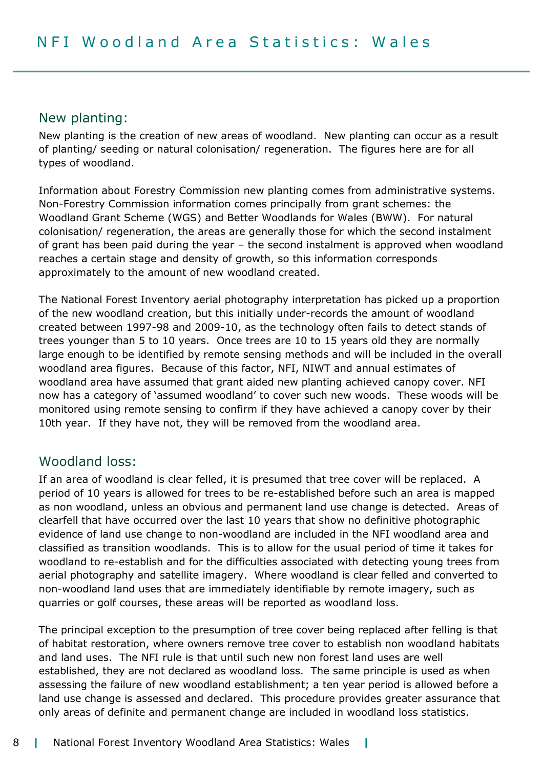#### New planting:

New planting is the creation of new areas of woodland. New planting can occur as a result of planting/ seeding or natural colonisation/ regeneration. The figures here are for all types of woodland.

Information about Forestry Commission new planting comes from administrative systems. Non-Forestry Commission information comes principally from grant schemes: the Woodland Grant Scheme (WGS) and Better Woodlands for Wales (BWW). For natural colonisation/ regeneration, the areas are generally those for which the second instalment of grant has been paid during the year – the second instalment is approved when woodland reaches a certain stage and density of growth, so this information corresponds approximately to the amount of new woodland created.

The National Forest Inventory aerial photography interpretation has picked up a proportion of the new woodland creation, but this initially under-records the amount of woodland created between 1997-98 and 2009-10, as the technology often fails to detect stands of trees younger than 5 to 10 years. Once trees are 10 to 15 years old they are normally large enough to be identified by remote sensing methods and will be included in the overall woodland area figures. Because of this factor, NFI, NIWT and annual estimates of woodland area have assumed that grant aided new planting achieved canopy cover. NFI now has a category of 'assumed woodland' to cover such new woods. These woods will be monitored using remote sensing to confirm if they have achieved a canopy cover by their 10th year. If they have not, they will be removed from the woodland area.

#### Woodland loss:

If an area of woodland is clear felled, it is presumed that tree cover will be replaced. A period of 10 years is allowed for trees to be re-established before such an area is mapped as non woodland, unless an obvious and permanent land use change is detected. Areas of clearfell that have occurred over the last 10 years that show no definitive photographic evidence of land use change to non-woodland are included in the NFI woodland area and classified as transition woodlands. This is to allow for the usual period of time it takes for woodland to re-establish and for the difficulties associated with detecting young trees from aerial photography and satellite imagery. Where woodland is clear felled and converted to non-woodland land uses that are immediately identifiable by remote imagery, such as quarries or golf courses, these areas will be reported as woodland loss.

The principal exception to the presumption of tree cover being replaced after felling is that of habitat restoration, where owners remove tree cover to establish non woodland habitats and land uses. The NFI rule is that until such new non forest land uses are well established, they are not declared as woodland loss. The same principle is used as when assessing the failure of new woodland establishment; a ten year period is allowed before a land use change is assessed and declared. This procedure provides greater assurance that only areas of definite and permanent change are included in woodland loss statistics.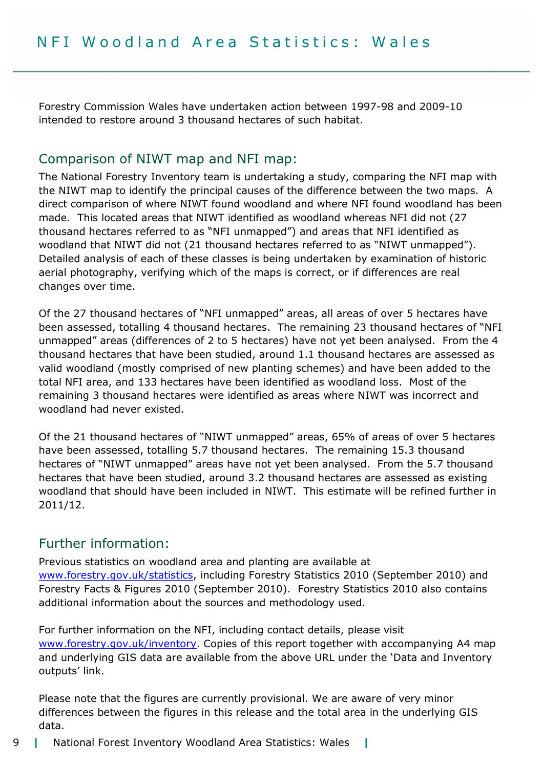Forestry Commission Wales have undertaken action between 1997-98 and 2009-10 intended to restore around 3 thousand hectares of such habitat.

### Comparison of NIWT map and NFI map:

The National Forestry Inventory team is undertaking a study, comparing the NFI map with the NIWT map to identify the principal causes of the difference between the two maps. A direct comparison of where NIWT found woodland and where NFI found woodland has been made. This located areas that NIWT identified as woodland whereas NFI did not (27 thousand hectares referred to as "NFI unmapped") and areas that NFI identified as woodland that NIWT did not (21 thousand hectares referred to as "NIWT unmapped"). Detailed analysis of each of these classes is being undertaken by examination of historic aerial photography, verifying which of the maps is correct, or if differences are real changes over time.

Of the 27 thousand hectares of "NFI unmapped" areas, all areas of over 5 hectares have been assessed, totalling 4 thousand hectares. The remaining 23 thousand hectares of "NFI unmapped" areas (differences of 2 to 5 hectares) have not yet been analysed. From the 4 thousand hectares that have been studied, around 1.1 thousand hectares are assessed as valid woodland (mostly comprised of new planting schemes) and have been added to the total NFI area, and 133 hectares have been identified as woodland loss. Most of the remaining 3 thousand hectares were identified as areas where NIWT was incorrect and woodland had never existed.

Of the 21 thousand hectares of "NIWT unmapped" areas, 65% of areas of over 5 hectares have been assessed, totalling 5.7 thousand hectares. The remaining 15.3 thousand hectares of "NIWT unmapped" areas have not yet been analysed. From the 5.7 thousand hectares that have been studied, around 3.2 thousand hectares are assessed as existing woodland that should have been included in NIWT. This estimate will be refined further in 2011/12.

### Further information:

Previous statistics on woodland area and planting are available at www.forestry.gov.uk/statistics, including Forestry Statistics 2010 (September 2010) and Forestry Facts & Figures 2010 (September 2010). Forestry Statistics 2010 also contains additional information about the sources and methodology used.

For further information on the NFI, including contact details, please visit www.forestry.gov.uk/inventory. Copies of this report together with accompanying A4 map and underlying GIS data are available from the above URL under the 'Data and Inventory outputs' link.

Please note that the figures are currently provisional. We are aware of very minor differences between the figures in this release and the total area in the underlying GIS data.